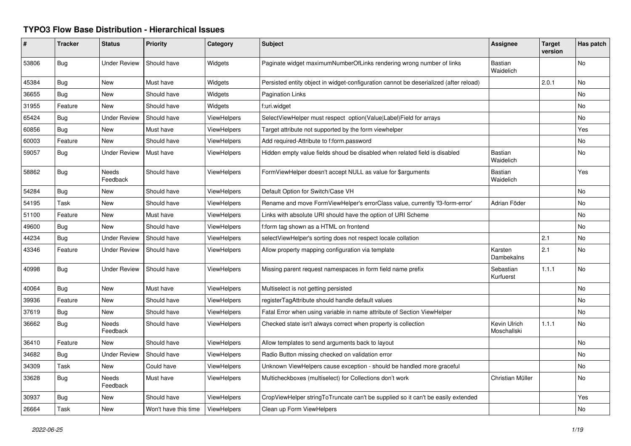## **TYPO3 Flow Base Distribution - Hierarchical Issues**

| #     | <b>Tracker</b> | <b>Status</b>       | <b>Priority</b>      | Category           | <b>Subject</b>                                                                        | <b>Assignee</b>             | <b>Target</b><br>version | Has patch |
|-------|----------------|---------------------|----------------------|--------------------|---------------------------------------------------------------------------------------|-----------------------------|--------------------------|-----------|
| 53806 | Bug            | <b>Under Review</b> | Should have          | Widgets            | Paginate widget maximumNumberOfLinks rendering wrong number of links                  | <b>Bastian</b><br>Waidelich |                          | No        |
| 45384 | Bug            | <b>New</b>          | Must have            | Widgets            | Persisted entity object in widget-configuration cannot be deserialized (after reload) |                             | 2.0.1                    | No        |
| 36655 | Bug            | New                 | Should have          | Widgets            | <b>Pagination Links</b>                                                               |                             |                          | No        |
| 31955 | Feature        | New                 | Should have          | Widgets            | f:uri.widget                                                                          |                             |                          | No        |
| 65424 | Bug            | <b>Under Review</b> | Should have          | ViewHelpers        | SelectViewHelper must respect option(Value Label)Field for arrays                     |                             |                          | No        |
| 60856 | Bug            | New                 | Must have            | <b>ViewHelpers</b> | Target attribute not supported by the form viewhelper                                 |                             |                          | Yes       |
| 60003 | Feature        | New                 | Should have          | ViewHelpers        | Add required-Attribute to f:form.password                                             |                             |                          | No        |
| 59057 | Bug            | <b>Under Review</b> | Must have            | <b>ViewHelpers</b> | Hidden empty value fields shoud be disabled when related field is disabled            | Bastian<br>Waidelich        |                          | No        |
| 58862 | Bug            | Needs<br>Feedback   | Should have          | <b>ViewHelpers</b> | FormViewHelper doesn't accept NULL as value for \$arguments                           | <b>Bastian</b><br>Waidelich |                          | Yes       |
| 54284 | Bug            | <b>New</b>          | Should have          | <b>ViewHelpers</b> | Default Option for Switch/Case VH                                                     |                             |                          | <b>No</b> |
| 54195 | Task           | New                 | Should have          | <b>ViewHelpers</b> | Rename and move FormViewHelper's errorClass value, currently 'f3-form-error'          | Adrian Föder                |                          | No        |
| 51100 | Feature        | New                 | Must have            | ViewHelpers        | Links with absolute URI should have the option of URI Scheme                          |                             |                          | No        |
| 49600 | Bug            | <b>New</b>          | Should have          | ViewHelpers        | f:form tag shown as a HTML on frontend                                                |                             |                          | No.       |
| 44234 | Bug            | <b>Under Review</b> | Should have          | ViewHelpers        | selectViewHelper's sorting does not respect locale collation                          |                             | 2.1                      | No        |
| 43346 | Feature        | <b>Under Review</b> | Should have          | <b>ViewHelpers</b> | Allow property mapping configuration via template                                     | Karsten<br>Dambekalns       | 2.1                      | <b>No</b> |
| 40998 | <b>Bug</b>     | <b>Under Review</b> | Should have          | <b>ViewHelpers</b> | Missing parent request namespaces in form field name prefix                           | Sebastian<br>Kurfuerst      | 1.1.1                    | <b>No</b> |
| 40064 | Bug            | New                 | Must have            | ViewHelpers        | Multiselect is not getting persisted                                                  |                             |                          | No.       |
| 39936 | Feature        | New                 | Should have          | ViewHelpers        | registerTagAttribute should handle default values                                     |                             |                          | No        |
| 37619 | Bug            | New                 | Should have          | ViewHelpers        | Fatal Error when using variable in name attribute of Section ViewHelper               |                             |                          | No        |
| 36662 | Bug            | Needs<br>Feedback   | Should have          | <b>ViewHelpers</b> | Checked state isn't always correct when property is collection                        | Kevin Ulrich<br>Moschallski | 1.1.1                    | No        |
| 36410 | Feature        | <b>New</b>          | Should have          | ViewHelpers        | Allow templates to send arguments back to layout                                      |                             |                          | No        |
| 34682 | Bug            | <b>Under Review</b> | Should have          | ViewHelpers        | Radio Button missing checked on validation error                                      |                             |                          | No        |
| 34309 | Task           | New                 | Could have           | <b>ViewHelpers</b> | Unknown ViewHelpers cause exception - should be handled more graceful                 |                             |                          | No.       |
| 33628 | <b>Bug</b>     | Needs<br>Feedback   | Must have            | <b>ViewHelpers</b> | Multicheckboxes (multiselect) for Collections don't work                              | Christian Müller            |                          | No        |
| 30937 | Bug            | New                 | Should have          | ViewHelpers        | CropViewHelper stringToTruncate can't be supplied so it can't be easily extended      |                             |                          | Yes       |
| 26664 | Task           | New                 | Won't have this time | ViewHelpers        | Clean up Form ViewHelpers                                                             |                             |                          | No.       |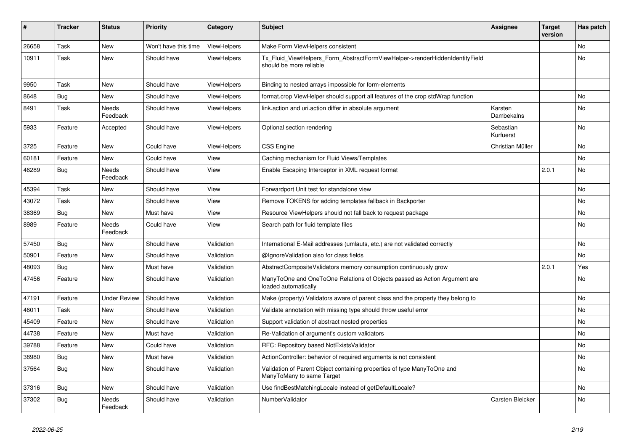| #     | <b>Tracker</b> | <b>Status</b>            | <b>Priority</b>      | Category           | <b>Subject</b>                                                                                         | <b>Assignee</b>        | <b>Target</b><br>version | Has patch      |
|-------|----------------|--------------------------|----------------------|--------------------|--------------------------------------------------------------------------------------------------------|------------------------|--------------------------|----------------|
| 26658 | Task           | <b>New</b>               | Won't have this time | ViewHelpers        | Make Form ViewHelpers consistent                                                                       |                        |                          | No             |
| 10911 | Task           | New                      | Should have          | <b>ViewHelpers</b> | Tx_Fluid_ViewHelpers_Form_AbstractFormViewHelper->renderHiddenIdentityField<br>should be more reliable |                        |                          | No             |
| 9950  | Task           | <b>New</b>               | Should have          | ViewHelpers        | Binding to nested arrays impossible for form-elements                                                  |                        |                          |                |
| 8648  | <b>Bug</b>     | New                      | Should have          | ViewHelpers        | format.crop ViewHelper should support all features of the crop stdWrap function                        |                        |                          | No.            |
| 8491  | Task           | <b>Needs</b><br>Feedback | Should have          | <b>ViewHelpers</b> | link.action and uri.action differ in absolute argument                                                 | Karsten<br>Dambekalns  |                          | No.            |
| 5933  | Feature        | Accepted                 | Should have          | <b>ViewHelpers</b> | Optional section rendering                                                                             | Sebastian<br>Kurfuerst |                          | No             |
| 3725  | Feature        | <b>New</b>               | Could have           | <b>ViewHelpers</b> | CSS Engine                                                                                             | Christian Müller       |                          | No             |
| 60181 | Feature        | New                      | Could have           | View               | Caching mechanism for Fluid Views/Templates                                                            |                        |                          | N <sub>o</sub> |
| 46289 | <b>Bug</b>     | <b>Needs</b><br>Feedback | Should have          | View               | Enable Escaping Interceptor in XML request format                                                      |                        | 2.0.1                    | No             |
| 45394 | Task           | New                      | Should have          | View               | Forwardport Unit test for standalone view                                                              |                        |                          | No             |
| 43072 | Task           | New                      | Should have          | View               | Remove TOKENS for adding templates fallback in Backporter                                              |                        |                          | No             |
| 38369 | Bug            | New                      | Must have            | View               | Resource ViewHelpers should not fall back to request package                                           |                        |                          | No             |
| 8989  | Feature        | Needs<br>Feedback        | Could have           | View               | Search path for fluid template files                                                                   |                        |                          | No.            |
| 57450 | Bug            | <b>New</b>               | Should have          | Validation         | International E-Mail addresses (umlauts, etc.) are not validated correctly                             |                        |                          | No             |
| 50901 | Feature        | <b>New</b>               | Should have          | Validation         | @IgnoreValidation also for class fields                                                                |                        |                          | No             |
| 48093 | Bug            | New                      | Must have            | Validation         | AbstractCompositeValidators memory consumption continuously grow                                       |                        | 2.0.1                    | Yes            |
| 47456 | Feature        | New                      | Should have          | Validation         | ManyToOne and OneToOne Relations of Objects passed as Action Argument are<br>loaded automatically      |                        |                          | No             |
| 47191 | Feature        | <b>Under Review</b>      | Should have          | Validation         | Make (property) Validators aware of parent class and the property they belong to                       |                        |                          | No             |
| 46011 | Task           | New                      | Should have          | Validation         | Validate annotation with missing type should throw useful error                                        |                        |                          | No             |
| 45409 | Feature        | New                      | Should have          | Validation         | Support validation of abstract nested properties                                                       |                        |                          | No             |
| 44738 | Feature        | New                      | Must have            | Validation         | Re-Validation of argument's custom validators                                                          |                        |                          | No             |
| 39788 | Feature        | New                      | Could have           | Validation         | RFC: Repository based NotExistsValidator                                                               |                        |                          | No             |
| 38980 | Bug            | New                      | Must have            | Validation         | ActionController: behavior of required arguments is not consistent                                     |                        |                          | No             |
| 37564 | Bug            | New                      | Should have          | Validation         | Validation of Parent Object containing properties of type ManyToOne and<br>ManyToMany to same Target   |                        |                          | No             |
| 37316 | Bug            | <b>New</b>               | Should have          | Validation         | Use findBestMatchingLocale instead of getDefaultLocale?                                                |                        |                          | No             |
| 37302 | Bug            | Needs<br>Feedback        | Should have          | Validation         | NumberValidator                                                                                        | Carsten Bleicker       |                          | No             |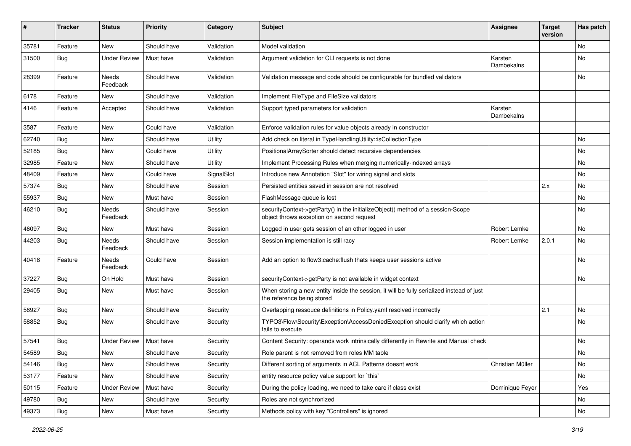| ∦     | <b>Tracker</b> | <b>Status</b>       | <b>Priority</b> | Category   | Subject                                                                                                                      | <b>Assignee</b>              | <b>Target</b><br>version | Has patch      |
|-------|----------------|---------------------|-----------------|------------|------------------------------------------------------------------------------------------------------------------------------|------------------------------|--------------------------|----------------|
| 35781 | Feature        | New                 | Should have     | Validation | Model validation                                                                                                             |                              |                          | N <sub>o</sub> |
| 31500 | <b>Bug</b>     | Under Review        | Must have       | Validation | Argument validation for CLI requests is not done                                                                             | Karsten<br>Dambekalns        |                          | No             |
| 28399 | Feature        | Needs<br>Feedback   | Should have     | Validation | Validation message and code should be configurable for bundled validators                                                    |                              |                          | <b>No</b>      |
| 6178  | Feature        | <b>New</b>          | Should have     | Validation | Implement FileType and FileSize validators                                                                                   |                              |                          |                |
| 4146  | Feature        | Accepted            | Should have     | Validation | Support typed parameters for validation                                                                                      | Karsten<br><b>Dambekalns</b> |                          |                |
| 3587  | Feature        | New                 | Could have      | Validation | Enforce validation rules for value objects already in constructor                                                            |                              |                          |                |
| 62740 | Bug            | New                 | Should have     | Utility    | Add check on literal in TypeHandlingUtility::isCollectionType                                                                |                              |                          | No             |
| 52185 | Bug            | New                 | Could have      | Utility    | PositionalArraySorter should detect recursive dependencies                                                                   |                              |                          | No             |
| 32985 | Feature        | New                 | Should have     | Utility    | Implement Processing Rules when merging numerically-indexed arrays                                                           |                              |                          | <b>No</b>      |
| 48409 | Feature        | New                 | Could have      | SignalSlot | Introduce new Annotation "Slot" for wiring signal and slots                                                                  |                              |                          | No             |
| 57374 | Bug            | <b>New</b>          | Should have     | Session    | Persisted entities saved in session are not resolved                                                                         |                              | 2.x                      | No             |
| 55937 | Bug            | New                 | Must have       | Session    | FlashMessage queue is lost                                                                                                   |                              |                          | No             |
| 46210 | <b>Bug</b>     | Needs<br>Feedback   | Should have     | Session    | securityContext->getParty() in the initializeObject() method of a session-Scope<br>object throws exception on second request |                              |                          | No             |
| 46097 | Bug            | New                 | Must have       | Session    | Logged in user gets session of an other logged in user                                                                       | Robert Lemke                 |                          | No             |
| 44203 | Bug            | Needs<br>Feedback   | Should have     | Session    | Session implementation is still racy                                                                                         | Robert Lemke                 | 2.0.1                    | No             |
| 40418 | Feature        | Needs<br>Feedback   | Could have      | Session    | Add an option to flow3:cache: flush thats keeps user sessions active                                                         |                              |                          | No             |
| 37227 | Bug            | On Hold             | Must have       | Session    | securityContext->getParty is not available in widget context                                                                 |                              |                          | No             |
| 29405 | Bug            | New                 | Must have       | Session    | When storing a new entity inside the session, it will be fully serialized instead of just<br>the reference being stored      |                              |                          |                |
| 58927 | Bug            | New                 | Should have     | Security   | Overlapping ressouce definitions in Policy yaml resolved incorrectly                                                         |                              | 2.1                      | No             |
| 58852 | Bug            | New                 | Should have     | Security   | TYPO3\Flow\Security\Exception\AccessDeniedException should clarify which action<br>fails to execute                          |                              |                          | No             |
| 57541 | Bug            | <b>Under Review</b> | Must have       | Security   | Content Security: operands work intrinsically differently in Rewrite and Manual check                                        |                              |                          | No.            |
| 54589 | Bug            | New                 | Should have     | Security   | Role parent is not removed from roles MM table                                                                               |                              |                          | No             |
| 54146 | Bug            | New                 | Should have     | Security   | Different sorting of arguments in ACL Patterns doesnt work                                                                   | Christian Müller             |                          | No             |
| 53177 | Feature        | New                 | Should have     | Security   | entity resource policy value support for `this`                                                                              |                              |                          | No             |
| 50115 | Feature        | <b>Under Review</b> | Must have       | Security   | During the policy loading, we need to take care if class exist                                                               | Dominique Feyer              |                          | Yes            |
| 49780 | <b>Bug</b>     | New                 | Should have     | Security   | Roles are not synchronized                                                                                                   |                              |                          | No             |
| 49373 | Bug            | New                 | Must have       | Security   | Methods policy with key "Controllers" is ignored                                                                             |                              |                          | No             |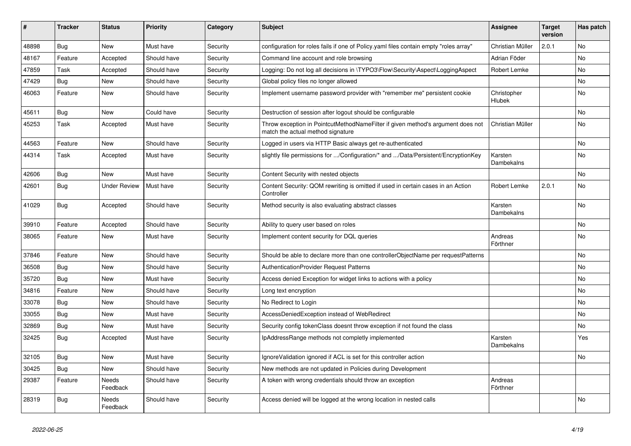| ∦     | <b>Tracker</b> | <b>Status</b>            | <b>Priority</b> | Category | <b>Subject</b>                                                                                                       | <b>Assignee</b>       | <b>Target</b><br>version | Has patch |
|-------|----------------|--------------------------|-----------------|----------|----------------------------------------------------------------------------------------------------------------------|-----------------------|--------------------------|-----------|
| 48898 | Bug            | <b>New</b>               | Must have       | Security | configuration for roles fails if one of Policy.yaml files contain empty "roles array"                                | Christian Müller      | 2.0.1                    | <b>No</b> |
| 48167 | Feature        | Accepted                 | Should have     | Security | Command line account and role browsing                                                                               | Adrian Föder          |                          | No.       |
| 47859 | Task           | Accepted                 | Should have     | Security | Logging: Do not log all decisions in \TYPO3\Flow\Security\Aspect\LoggingAspect                                       | Robert Lemke          |                          | <b>No</b> |
| 47429 | Bug            | New                      | Should have     | Security | Global policy files no longer allowed                                                                                |                       |                          | No.       |
| 46063 | Feature        | <b>New</b>               | Should have     | Security | Implement username password provider with "remember me" persistent cookie                                            | Christopher<br>Hlubek |                          | <b>No</b> |
| 45611 | <b>Bug</b>     | <b>New</b>               | Could have      | Security | Destruction of session after logout should be configurable                                                           |                       |                          | No.       |
| 45253 | Task           | Accepted                 | Must have       | Security | Throw exception in PointcutMethodNameFilter if given method's argument does not<br>match the actual method signature | Christian Müller      |                          | No        |
| 44563 | Feature        | New                      | Should have     | Security | Logged in users via HTTP Basic always get re-authenticated                                                           |                       |                          | No        |
| 44314 | Task           | Accepted                 | Must have       | Security | slightly file permissions for /Configuration/* and /Data/Persistent/EncryptionKey                                    | Karsten<br>Dambekalns |                          | <b>No</b> |
| 42606 | Bug            | <b>New</b>               | Must have       | Security | Content Security with nested objects                                                                                 |                       |                          | <b>No</b> |
| 42601 | <b>Bug</b>     | <b>Under Review</b>      | Must have       | Security | Content Security: QOM rewriting is omitted if used in certain cases in an Action<br>Controller                       | Robert Lemke          | 2.0.1                    | <b>No</b> |
| 41029 | <b>Bug</b>     | Accepted                 | Should have     | Security | Method security is also evaluating abstract classes                                                                  | Karsten<br>Dambekalns |                          | <b>No</b> |
| 39910 | Feature        | Accepted                 | Should have     | Security | Ability to query user based on roles                                                                                 |                       |                          | No        |
| 38065 | Feature        | New                      | Must have       | Security | Implement content security for DQL queries                                                                           | Andreas<br>Förthner   |                          | No        |
| 37846 | Feature        | New                      | Should have     | Security | Should be able to declare more than one controllerObjectName per requestPatterns                                     |                       |                          | <b>No</b> |
| 36508 | Bug            | New                      | Should have     | Security | <b>AuthenticationProvider Request Patterns</b>                                                                       |                       |                          | No.       |
| 35720 | <b>Bug</b>     | <b>New</b>               | Must have       | Security | Access denied Exception for widget links to actions with a policy                                                    |                       |                          | <b>No</b> |
| 34816 | Feature        | <b>New</b>               | Should have     | Security | Long text encryption                                                                                                 |                       |                          | <b>No</b> |
| 33078 | <b>Bug</b>     | <b>New</b>               | Should have     | Security | No Redirect to Login                                                                                                 |                       |                          | <b>No</b> |
| 33055 | Bug            | New                      | Must have       | Security | AccessDeniedException instead of WebRedirect                                                                         |                       |                          | No.       |
| 32869 | Bug            | <b>New</b>               | Must have       | Security | Security config tokenClass doesnt throw exception if not found the class                                             |                       |                          | <b>No</b> |
| 32425 | Bug            | Accepted                 | Must have       | Security | IpAddressRange methods not completly implemented                                                                     | Karsten<br>Dambekalns |                          | Yes       |
| 32105 | <b>Bug</b>     | New                      | Must have       | Security | Ignore Validation ignored if ACL is set for this controller action                                                   |                       |                          | No        |
| 30425 | <b>Bug</b>     | New                      | Should have     | Security | New methods are not updated in Policies during Development                                                           |                       |                          |           |
| 29387 | Feature        | <b>Needs</b><br>Feedback | Should have     | Security | A token with wrong credentials should throw an exception                                                             | Andreas<br>Förthner   |                          |           |
| 28319 | <b>Bug</b>     | Needs<br>Feedback        | Should have     | Security | Access denied will be logged at the wrong location in nested calls                                                   |                       |                          | No        |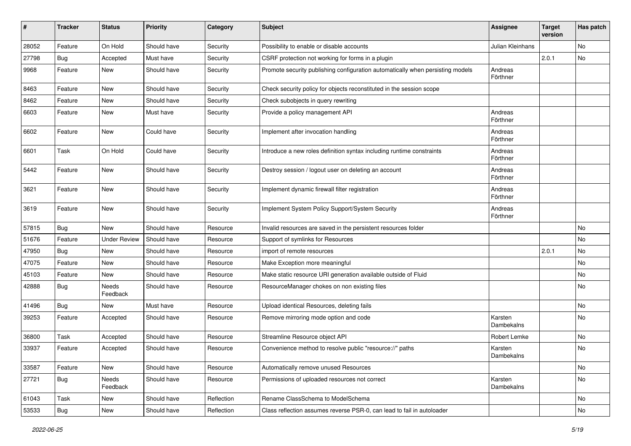| $\sharp$ | <b>Tracker</b> | <b>Status</b>       | <b>Priority</b> | Category   | <b>Subject</b>                                                                 | Assignee              | <b>Target</b><br>version | Has patch |
|----------|----------------|---------------------|-----------------|------------|--------------------------------------------------------------------------------|-----------------------|--------------------------|-----------|
| 28052    | Feature        | On Hold             | Should have     | Security   | Possibility to enable or disable accounts                                      | Julian Kleinhans      |                          | No        |
| 27798    | Bug            | Accepted            | Must have       | Security   | CSRF protection not working for forms in a plugin                              |                       | 2.0.1                    | No        |
| 9968     | Feature        | New                 | Should have     | Security   | Promote security publishing configuration automatically when persisting models | Andreas<br>Förthner   |                          |           |
| 8463     | Feature        | New                 | Should have     | Security   | Check security policy for objects reconstituted in the session scope           |                       |                          |           |
| 8462     | Feature        | New                 | Should have     | Security   | Check subobjects in query rewriting                                            |                       |                          |           |
| 6603     | Feature        | New                 | Must have       | Security   | Provide a policy management API                                                | Andreas<br>Förthner   |                          |           |
| 6602     | Feature        | <b>New</b>          | Could have      | Security   | Implement after invocation handling                                            | Andreas<br>Förthner   |                          |           |
| 6601     | Task           | On Hold             | Could have      | Security   | Introduce a new roles definition syntax including runtime constraints          | Andreas<br>Förthner   |                          |           |
| 5442     | Feature        | <b>New</b>          | Should have     | Security   | Destroy session / logout user on deleting an account                           | Andreas<br>Förthner   |                          |           |
| 3621     | Feature        | <b>New</b>          | Should have     | Security   | Implement dynamic firewall filter registration                                 | Andreas<br>Förthner   |                          |           |
| 3619     | Feature        | New                 | Should have     | Security   | Implement System Policy Support/System Security                                | Andreas<br>Förthner   |                          |           |
| 57815    | Bug            | <b>New</b>          | Should have     | Resource   | Invalid resources are saved in the persistent resources folder                 |                       |                          | No        |
| 51676    | Feature        | <b>Under Review</b> | Should have     | Resource   | Support of symlinks for Resources                                              |                       |                          | No        |
| 47950    | Bug            | New                 | Should have     | Resource   | import of remote resources                                                     |                       | 2.0.1                    | No        |
| 47075    | Feature        | New                 | Should have     | Resource   | Make Exception more meaningful                                                 |                       |                          | No        |
| 45103    | Feature        | New                 | Should have     | Resource   | Make static resource URI generation available outside of Fluid                 |                       |                          | No        |
| 42888    | <b>Bug</b>     | Needs<br>Feedback   | Should have     | Resource   | ResourceManager chokes on non existing files                                   |                       |                          | No        |
| 41496    | Bug            | New                 | Must have       | Resource   | Upload identical Resources, deleting fails                                     |                       |                          | No        |
| 39253    | Feature        | Accepted            | Should have     | Resource   | Remove mirroring mode option and code                                          | Karsten<br>Dambekalns |                          | No        |
| 36800    | Task           | Accepted            | Should have     | Resource   | Streamline Resource object API                                                 | Robert Lemke          |                          | No        |
| 33937    | Feature        | Accepted            | Should have     | Resource   | Convenience method to resolve public "resource://" paths                       | Karsten<br>Dambekalns |                          | <b>No</b> |
| 33587    | Feature        | New                 | Should have     | Resource   | Automatically remove unused Resources                                          |                       |                          | No        |
| 27721    | Bug            | Needs<br>Feedback   | Should have     | Resource   | Permissions of uploaded resources not correct                                  | Karsten<br>Dambekalns |                          | No        |
| 61043    | Task           | New                 | Should have     | Reflection | Rename ClassSchema to ModelSchema                                              |                       |                          | No        |
| 53533    | Bug            | New                 | Should have     | Reflection | Class reflection assumes reverse PSR-0, can lead to fail in autoloader         |                       |                          | No        |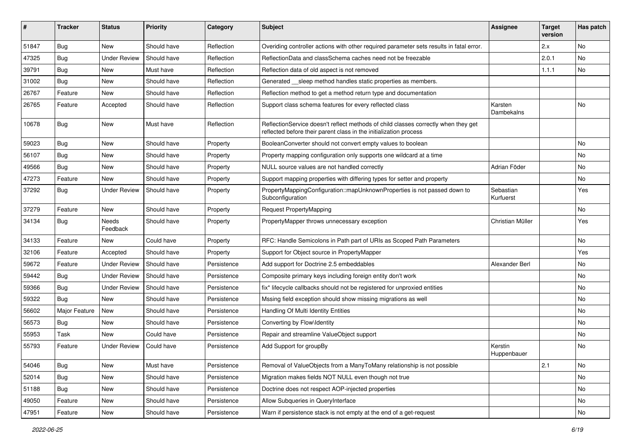| #     | <b>Tracker</b> | <b>Status</b>            | <b>Priority</b> | Category    | Subject                                                                                                                                                 | <b>Assignee</b>        | <b>Target</b><br>version | Has patch |
|-------|----------------|--------------------------|-----------------|-------------|---------------------------------------------------------------------------------------------------------------------------------------------------------|------------------------|--------------------------|-----------|
| 51847 | Bug            | <b>New</b>               | Should have     | Reflection  | Overiding controller actions with other required parameter sets results in fatal error.                                                                 |                        | 2.x                      | No        |
| 47325 | Bug            | <b>Under Review</b>      | Should have     | Reflection  | ReflectionData and classSchema caches need not be freezable                                                                                             |                        | 2.0.1                    | No        |
| 39791 | Bug            | New                      | Must have       | Reflection  | Reflection data of old aspect is not removed                                                                                                            |                        | 1.1.1                    | No        |
| 31002 | Bug            | <b>New</b>               | Should have     | Reflection  | Generated __sleep method handles static properties as members.                                                                                          |                        |                          |           |
| 26767 | Feature        | New                      | Should have     | Reflection  | Reflection method to get a method return type and documentation                                                                                         |                        |                          |           |
| 26765 | Feature        | Accepted                 | Should have     | Reflection  | Support class schema features for every reflected class                                                                                                 | Karsten<br>Dambekalns  |                          | No        |
| 10678 | Bug            | New                      | Must have       | Reflection  | ReflectionService doesn't reflect methods of child classes correctly when they get<br>reflected before their parent class in the initialization process |                        |                          |           |
| 59023 | Bug            | New                      | Should have     | Property    | BooleanConverter should not convert empty values to boolean                                                                                             |                        |                          | No        |
| 56107 | Bug            | New                      | Should have     | Property    | Property mapping configuration only supports one wildcard at a time                                                                                     |                        |                          | No        |
| 49566 | Bug            | <b>New</b>               | Should have     | Property    | NULL source values are not handled correctly                                                                                                            | Adrian Föder           |                          | No        |
| 47273 | Feature        | New                      | Should have     | Property    | Support mapping properties with differing types for setter and property                                                                                 |                        |                          | No        |
| 37292 | <b>Bug</b>     | <b>Under Review</b>      | Should have     | Property    | PropertyMappingConfiguration::mapUnknownProperties is not passed down to<br>Subconfiguration                                                            | Sebastian<br>Kurfuerst |                          | Yes       |
| 37279 | Feature        | New                      | Should have     | Property    | <b>Request PropertyMapping</b>                                                                                                                          |                        |                          | No        |
| 34134 | <b>Bug</b>     | <b>Needs</b><br>Feedback | Should have     | Property    | PropertyMapper throws unnecessary exception                                                                                                             | Christian Müller       |                          | Yes       |
| 34133 | Feature        | New                      | Could have      | Property    | RFC: Handle Semicolons in Path part of URIs as Scoped Path Parameters                                                                                   |                        |                          | No        |
| 32106 | Feature        | Accepted                 | Should have     | Property    | Support for Object source in PropertyMapper                                                                                                             |                        |                          | Yes       |
| 59672 | Feature        | <b>Under Review</b>      | Should have     | Persistence | Add support for Doctrine 2.5 embeddables                                                                                                                | Alexander Berl         |                          | No        |
| 59442 | Bug            | <b>Under Review</b>      | Should have     | Persistence | Composite primary keys including foreign entity don't work                                                                                              |                        |                          | No        |
| 59366 | Bug            | <b>Under Review</b>      | Should have     | Persistence | fix* lifecycle callbacks should not be registered for unproxied entities                                                                                |                        |                          | No        |
| 59322 | Bug            | New                      | Should have     | Persistence | Mssing field exception should show missing migrations as well                                                                                           |                        |                          | No        |
| 56602 | Major Feature  | <b>New</b>               | Should have     | Persistence | Handling Of Multi Identity Entities                                                                                                                     |                        |                          | No        |
| 56573 | <b>Bug</b>     | New                      | Should have     | Persistence | Converting by Flow\Identity                                                                                                                             |                        |                          | No        |
| 55953 | Task           | New                      | Could have      | Persistence | Repair and streamline ValueObject support                                                                                                               |                        |                          | No        |
| 55793 | Feature        | <b>Under Review</b>      | Could have      | Persistence | Add Support for groupBy                                                                                                                                 | Kerstin<br>Huppenbauer |                          | No        |
| 54046 | Bug            | <b>New</b>               | Must have       | Persistence | Removal of ValueObjects from a ManyToMany relationship is not possible                                                                                  |                        | 2.1                      | No        |
| 52014 | <b>Bug</b>     | New                      | Should have     | Persistence | Migration makes fields NOT NULL even though not true                                                                                                    |                        |                          | No        |
| 51188 | <b>Bug</b>     | <b>New</b>               | Should have     | Persistence | Doctrine does not respect AOP-injected properties                                                                                                       |                        |                          | No        |
| 49050 | Feature        | <b>New</b>               | Should have     | Persistence | Allow Subqueries in QueryInterface                                                                                                                      |                        |                          | No        |
| 47951 | Feature        | New                      | Should have     | Persistence | Warn if persistence stack is not empty at the end of a get-request                                                                                      |                        |                          | No        |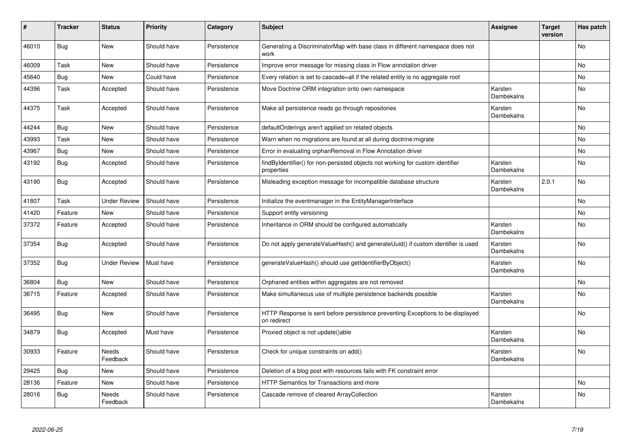| #     | <b>Tracker</b> | <b>Status</b>            | <b>Priority</b> | Category    | <b>Subject</b>                                                                                | <b>Assignee</b>       | <b>Target</b><br>version | Has patch |
|-------|----------------|--------------------------|-----------------|-------------|-----------------------------------------------------------------------------------------------|-----------------------|--------------------------|-----------|
| 46010 | Bug            | <b>New</b>               | Should have     | Persistence | Generating a DiscriminatorMap with base class in different namespace does not<br>work         |                       |                          | <b>No</b> |
| 46009 | Task           | <b>New</b>               | Should have     | Persistence | Improve error message for missing class in Flow annotation driver                             |                       |                          | <b>No</b> |
| 45640 | Bug            | New                      | Could have      | Persistence | Every relation is set to cascade=all if the related entity is no aggregate root               |                       |                          | No        |
| 44396 | Task           | Accepted                 | Should have     | Persistence | Move Doctrine ORM integration onto own namespace                                              | Karsten<br>Dambekalns |                          | No        |
| 44375 | Task           | Accepted                 | Should have     | Persistence | Make all persistence reads go through repositories                                            | Karsten<br>Dambekalns |                          | <b>No</b> |
| 44244 | <b>Bug</b>     | <b>New</b>               | Should have     | Persistence | defaultOrderings aren't applied on related objects                                            |                       |                          | <b>No</b> |
| 43993 | Task           | <b>New</b>               | Should have     | Persistence | Warn when no migrations are found at all during doctrine: migrate                             |                       |                          | No        |
| 43967 | Bug            | New                      | Should have     | Persistence | Error in evaluating orphanRemoval in Flow Annotation driver                                   |                       |                          | <b>No</b> |
| 43192 | Bug            | Accepted                 | Should have     | Persistence | findByIdentifier() for non-persisted objects not working for custom identifier<br>properties  | Karsten<br>Dambekalns |                          | <b>No</b> |
| 43190 | Bug            | Accepted                 | Should have     | Persistence | Misleading exception message for incompatible database structure                              | Karsten<br>Dambekalns | 2.0.1                    | No        |
| 41807 | Task           | <b>Under Review</b>      | Should have     | Persistence | Initialize the eventmanager in the EntityManagerInterface                                     |                       |                          | <b>No</b> |
| 41420 | Feature        | New                      | Should have     | Persistence | Support entity versioning                                                                     |                       |                          | <b>No</b> |
| 37372 | Feature        | Accepted                 | Should have     | Persistence | Inheritance in ORM should be configured automatically                                         | Karsten<br>Dambekalns |                          | No.       |
| 37354 | Bug            | Accepted                 | Should have     | Persistence | Do not apply generateValueHash() and generateUuid() if custom identifier is used              | Karsten<br>Dambekalns |                          | No        |
| 37352 | Bug            | <b>Under Review</b>      | Must have       | Persistence | generateValueHash() should use getIdentifierByObject()                                        | Karsten<br>Dambekalns |                          | No        |
| 36804 | Bug            | New                      | Should have     | Persistence | Orphaned entities within aggregates are not removed                                           |                       |                          | No        |
| 36715 | Feature        | Accepted                 | Should have     | Persistence | Make simultaneous use of multiple persistence backends possible                               | Karsten<br>Dambekalns |                          | No        |
| 36495 | Bug            | New                      | Should have     | Persistence | HTTP Response is sent before persistence preventing Exceptions to be displayed<br>on redirect |                       |                          | No        |
| 34879 | Bug            | Accepted                 | Must have       | Persistence | Proxied object is not update()able                                                            | Karsten<br>Dambekalns |                          | No        |
| 30933 | Feature        | <b>Needs</b><br>Feedback | Should have     | Persistence | Check for unique constraints on add()                                                         | Karsten<br>Dambekalns |                          | <b>No</b> |
| 29425 | Bug            | New                      | Should have     | Persistence | Deletion of a blog post with resources fails with FK constraint error                         |                       |                          |           |
| 28136 | Feature        | <b>New</b>               | Should have     | Persistence | <b>HTTP Semantics for Transactions and more</b>                                               |                       |                          | <b>No</b> |
| 28016 | Bug            | Needs<br>Feedback        | Should have     | Persistence | Cascade remove of cleared ArrayCollection                                                     | Karsten<br>Dambekalns |                          | No        |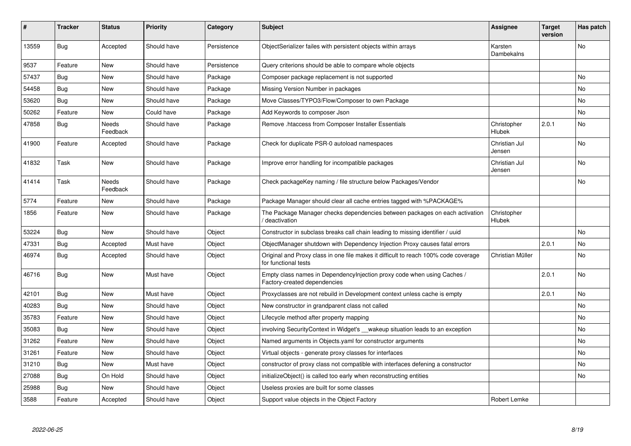| #     | <b>Tracker</b> | <b>Status</b>     | <b>Priority</b> | Category    | <b>Subject</b>                                                                                              | Assignee                     | <b>Target</b><br>version | Has patch      |
|-------|----------------|-------------------|-----------------|-------------|-------------------------------------------------------------------------------------------------------------|------------------------------|--------------------------|----------------|
| 13559 | Bug            | Accepted          | Should have     | Persistence | ObjectSerializer failes with persistent objects within arrays                                               | Karsten<br>Dambekalns        |                          | N <sub>o</sub> |
| 9537  | Feature        | <b>New</b>        | Should have     | Persistence | Query criterions should be able to compare whole objects                                                    |                              |                          |                |
| 57437 | Bug            | New               | Should have     | Package     | Composer package replacement is not supported                                                               |                              |                          | No             |
| 54458 | Bug            | New               | Should have     | Package     | Missing Version Number in packages                                                                          |                              |                          | No             |
| 53620 | Bug            | New               | Should have     | Package     | Move Classes/TYPO3/Flow/Composer to own Package                                                             |                              |                          | No             |
| 50262 | Feature        | New               | Could have      | Package     | Add Keywords to composer Json                                                                               |                              |                          | No             |
| 47858 | Bug            | Needs<br>Feedback | Should have     | Package     | Remove .htaccess from Composer Installer Essentials                                                         | Christopher<br><b>Hlubek</b> | 2.0.1                    | No.            |
| 41900 | Feature        | Accepted          | Should have     | Package     | Check for duplicate PSR-0 autoload namespaces                                                               | Christian Jul<br>Jensen      |                          | No             |
| 41832 | Task           | New               | Should have     | Package     | Improve error handling for incompatible packages                                                            | Christian Jul<br>Jensen      |                          | No             |
| 41414 | Task           | Needs<br>Feedback | Should have     | Package     | Check packageKey naming / file structure below Packages/Vendor                                              |                              |                          | No             |
| 5774  | Feature        | New               | Should have     | Package     | Package Manager should clear all cache entries tagged with %PACKAGE%                                        |                              |                          |                |
| 1856  | Feature        | <b>New</b>        | Should have     | Package     | The Package Manager checks dependencies between packages on each activation<br>deactivation                 | Christopher<br>Hlubek        |                          |                |
| 53224 | <b>Bug</b>     | New               | Should have     | Object      | Constructor in subclass breaks call chain leading to missing identifier / uuid                              |                              |                          | No.            |
| 47331 | <b>Bug</b>     | Accepted          | Must have       | Object      | ObjectManager shutdown with Dependency Injection Proxy causes fatal errors                                  |                              | 2.0.1                    | No             |
| 46974 | Bug            | Accepted          | Should have     | Object      | Original and Proxy class in one file makes it difficult to reach 100% code coverage<br>for functional tests | Christian Müller             |                          | No             |
| 46716 | Bug            | New               | Must have       | Object      | Empty class names in Dependencylnjection proxy code when using Caches /<br>Factory-created dependencies     |                              | 2.0.1                    | No             |
| 42101 | Bug            | <b>New</b>        | Must have       | Object      | Proxyclasses are not rebuild in Development context unless cache is empty                                   |                              | 2.0.1                    | No             |
| 40283 | <b>Bug</b>     | New               | Should have     | Object      | New constructor in grandparent class not called                                                             |                              |                          | No             |
| 35783 | Feature        | New               | Should have     | Object      | Lifecycle method after property mapping                                                                     |                              |                          | No             |
| 35083 | <b>Bug</b>     | New               | Should have     | Object      | involving SecurityContext in Widget's __wakeup situation leads to an exception                              |                              |                          | No             |
| 31262 | Feature        | New               | Should have     | Object      | Named arguments in Objects yaml for constructor arguments                                                   |                              |                          | No             |
| 31261 | Feature        | New               | Should have     | Object      | Virtual objects - generate proxy classes for interfaces                                                     |                              |                          | No             |
| 31210 | <b>Bug</b>     | <b>New</b>        | Must have       | Object      | constructor of proxy class not compatible with interfaces defening a constructor                            |                              |                          | No             |
| 27088 | Bug            | On Hold           | Should have     | Object      | initializeObject() is called too early when reconstructing entities                                         |                              |                          | No             |
| 25988 | <b>Bug</b>     | New               | Should have     | Object      | Useless proxies are built for some classes                                                                  |                              |                          |                |
| 3588  | Feature        | Accepted          | Should have     | Object      | Support value objects in the Object Factory                                                                 | Robert Lemke                 |                          |                |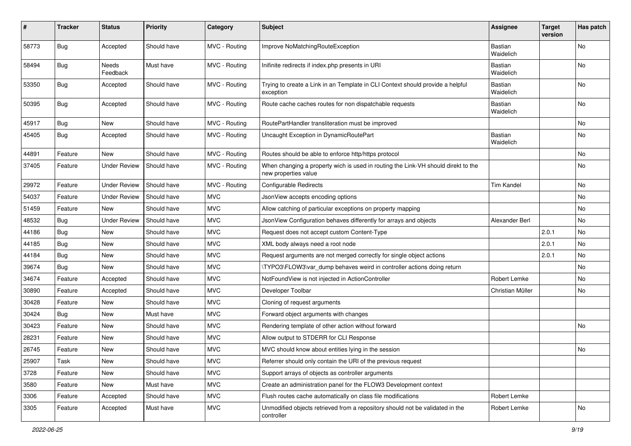| #     | <b>Tracker</b> | <b>Status</b>       | <b>Priority</b> | Category      | Subject                                                                                                   | <b>Assignee</b>             | <b>Target</b><br>version | Has patch |
|-------|----------------|---------------------|-----------------|---------------|-----------------------------------------------------------------------------------------------------------|-----------------------------|--------------------------|-----------|
| 58773 | Bug            | Accepted            | Should have     | MVC - Routing | Improve NoMatchingRouteException                                                                          | <b>Bastian</b><br>Waidelich |                          | No        |
| 58494 | Bug            | Needs<br>Feedback   | Must have       | MVC - Routing | Inifinite redirects if index.php presents in URI                                                          | Bastian<br>Waidelich        |                          | No        |
| 53350 | <b>Bug</b>     | Accepted            | Should have     | MVC - Routing | Trying to create a Link in an Template in CLI Context should provide a helpful<br>exception               | Bastian<br>Waidelich        |                          | No        |
| 50395 | Bug            | Accepted            | Should have     | MVC - Routing | Route cache caches routes for non dispatchable requests                                                   | Bastian<br>Waidelich        |                          | No.       |
| 45917 | Bug            | New                 | Should have     | MVC - Routing | RoutePartHandler transliteration must be improved                                                         |                             |                          | <b>No</b> |
| 45405 | Bug            | Accepted            | Should have     | MVC - Routing | Uncaught Exception in DynamicRoutePart                                                                    | Bastian<br>Waidelich        |                          | No        |
| 44891 | Feature        | New                 | Should have     | MVC - Routing | Routes should be able to enforce http/https protocol                                                      |                             |                          | No        |
| 37405 | Feature        | <b>Under Review</b> | Should have     | MVC - Routing | When changing a property wich is used in routing the Link-VH should direkt to the<br>new properties value |                             |                          | No        |
| 29972 | Feature        | <b>Under Review</b> | Should have     | MVC - Routing | Configurable Redirects                                                                                    | <b>Tim Kandel</b>           |                          | No.       |
| 54037 | Feature        | <b>Under Review</b> | Should have     | <b>MVC</b>    | JsonView accepts encoding options                                                                         |                             |                          | No        |
| 51459 | Feature        | New                 | Should have     | <b>MVC</b>    | Allow catching of particular exceptions on property mapping                                               |                             |                          | No        |
| 48532 | <b>Bug</b>     | <b>Under Review</b> | Should have     | <b>MVC</b>    | JsonView Configuration behaves differently for arrays and objects                                         | Alexander Berl              |                          | No        |
| 44186 | <b>Bug</b>     | New                 | Should have     | <b>MVC</b>    | Request does not accept custom Content-Type                                                               |                             | 2.0.1                    | No        |
| 44185 | Bug            | New                 | Should have     | <b>MVC</b>    | XML body always need a root node                                                                          |                             | 2.0.1                    | No        |
| 44184 | <b>Bug</b>     | New                 | Should have     | <b>MVC</b>    | Request arguments are not merged correctly for single object actions                                      |                             | 2.0.1                    | No        |
| 39674 | Bug            | New                 | Should have     | <b>MVC</b>    | \TYPO3\FLOW3\var_dump behaves weird in controller actions doing return                                    |                             |                          | No        |
| 34674 | Feature        | Accepted            | Should have     | <b>MVC</b>    | NotFoundView is not injected in ActionController                                                          | Robert Lemke                |                          | No        |
| 30890 | Feature        | Accepted            | Should have     | <b>MVC</b>    | Developer Toolbar                                                                                         | Christian Müller            |                          | No        |
| 30428 | Feature        | New                 | Should have     | <b>MVC</b>    | Cloning of request arguments                                                                              |                             |                          |           |
| 30424 | Bug            | New                 | Must have       | <b>MVC</b>    | Forward object arguments with changes                                                                     |                             |                          |           |
| 30423 | Feature        | New                 | Should have     | <b>MVC</b>    | Rendering template of other action without forward                                                        |                             |                          | No        |
| 28231 | Feature        | New                 | Should have     | <b>MVC</b>    | Allow output to STDERR for CLI Response                                                                   |                             |                          |           |
| 26745 | Feature        | New                 | Should have     | <b>MVC</b>    | MVC should know about entities lying in the session                                                       |                             |                          | No        |
| 25907 | Task           | New                 | Should have     | <b>MVC</b>    | Referrer should only contain the URI of the previous request                                              |                             |                          |           |
| 3728  | Feature        | New                 | Should have     | <b>MVC</b>    | Support arrays of objects as controller arguments                                                         |                             |                          |           |
| 3580  | Feature        | New                 | Must have       | <b>MVC</b>    | Create an administration panel for the FLOW3 Development context                                          |                             |                          |           |
| 3306  | Feature        | Accepted            | Should have     | <b>MVC</b>    | Flush routes cache automatically on class file modifications                                              | Robert Lemke                |                          |           |
| 3305  | Feature        | Accepted            | Must have       | <b>MVC</b>    | Unmodified objects retrieved from a repository should not be validated in the<br>controller               | Robert Lemke                |                          | No        |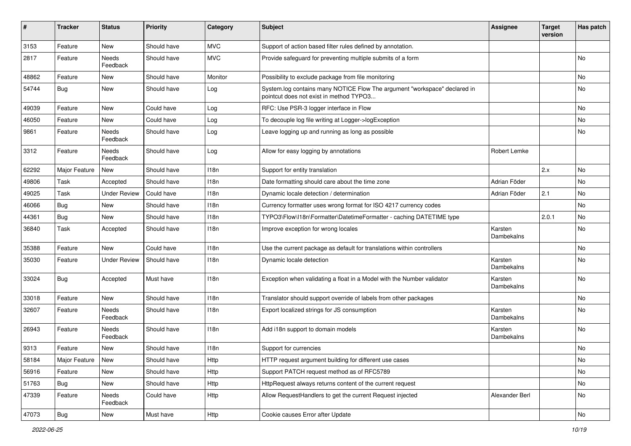| ∦     | <b>Tracker</b>      | <b>Status</b>       | <b>Priority</b> | Category   | Subject                                                                                                              | <b>Assignee</b>       | <b>Target</b><br>version | Has patch |
|-------|---------------------|---------------------|-----------------|------------|----------------------------------------------------------------------------------------------------------------------|-----------------------|--------------------------|-----------|
| 3153  | Feature             | New                 | Should have     | <b>MVC</b> | Support of action based filter rules defined by annotation.                                                          |                       |                          |           |
| 2817  | Feature             | Needs<br>Feedback   | Should have     | <b>MVC</b> | Provide safeguard for preventing multiple submits of a form                                                          |                       |                          | No.       |
| 48862 | Feature             | <b>New</b>          | Should have     | Monitor    | Possibility to exclude package from file monitoring                                                                  |                       |                          | <b>No</b> |
| 54744 | Bug                 | New                 | Should have     | Log        | System.log contains many NOTICE Flow The argument "workspace" declared in<br>pointcut does not exist in method TYPO3 |                       |                          | No        |
| 49039 | Feature             | New                 | Could have      | Log        | RFC: Use PSR-3 logger interface in Flow                                                                              |                       |                          | No        |
| 46050 | Feature             | New                 | Could have      | Log        | To decouple log file writing at Logger->logException                                                                 |                       |                          | No        |
| 9861  | Feature             | Needs<br>Feedback   | Should have     | Log        | Leave logging up and running as long as possible                                                                     |                       |                          | No        |
| 3312  | Feature             | Needs<br>Feedback   | Should have     | Log        | Allow for easy logging by annotations                                                                                | Robert Lemke          |                          |           |
| 62292 | Major Feature       | <b>New</b>          | Should have     | 118n       | Support for entity translation                                                                                       |                       | 2.x                      | No        |
| 49806 | Task                | Accepted            | Should have     | 118n       | Date formatting should care about the time zone                                                                      | Adrian Föder          |                          | No        |
| 49025 | Task                | <b>Under Review</b> | Could have      | 118n       | Dynamic locale detection / determination                                                                             | Adrian Föder          | 2.1                      | No        |
| 46066 | Bug                 | <b>New</b>          | Should have     | 118n       | Currency formatter uses wrong format for ISO 4217 currency codes                                                     |                       |                          | No        |
| 44361 | Bug                 | New                 | Should have     | 118n       | TYPO3\Flow\I18n\Formatter\DatetimeFormatter - caching DATETIME type                                                  |                       | 2.0.1                    | <b>No</b> |
| 36840 | Task                | Accepted            | Should have     | 118n       | Improve exception for wrong locales                                                                                  | Karsten<br>Dambekalns |                          | No        |
| 35388 | Feature             | <b>New</b>          | Could have      | 118n       | Use the current package as default for translations within controllers                                               |                       |                          | No        |
| 35030 | Feature             | <b>Under Review</b> | Should have     | 118n       | Dynamic locale detection                                                                                             | Karsten<br>Dambekalns |                          | No        |
| 33024 | Bug                 | Accepted            | Must have       | 118n       | Exception when validating a float in a Model with the Number validator                                               | Karsten<br>Dambekalns |                          | No        |
| 33018 | Feature             | New                 | Should have     | 118n       | Translator should support override of labels from other packages                                                     |                       |                          | No        |
| 32607 | Feature             | Needs<br>Feedback   | Should have     | 118n       | Export localized strings for JS consumption                                                                          | Karsten<br>Dambekalns |                          | No        |
| 26943 | Feature             | Needs<br>Feedback   | Should have     | 118n       | Add i18n support to domain models                                                                                    | Karsten<br>Dambekalns |                          | No        |
| 9313  | Feature             | New                 | Should have     | 118n       | Support for currencies                                                                                               |                       |                          | No        |
| 58184 | Major Feature   New |                     | Should have     | Http       | HTTP request argument building for different use cases                                                               |                       |                          | No        |
| 56916 | Feature             | New                 | Should have     | Http       | Support PATCH request method as of RFC5789                                                                           |                       |                          | No        |
| 51763 | Bug                 | New                 | Should have     | Http       | HttpRequest always returns content of the current request                                                            |                       |                          | No        |
| 47339 | Feature             | Needs<br>Feedback   | Could have      | Http       | Allow RequestHandlers to get the current Request injected                                                            | Alexander Berl        |                          | No        |
| 47073 | Bug                 | New                 | Must have       | Http       | Cookie causes Error after Update                                                                                     |                       |                          | No        |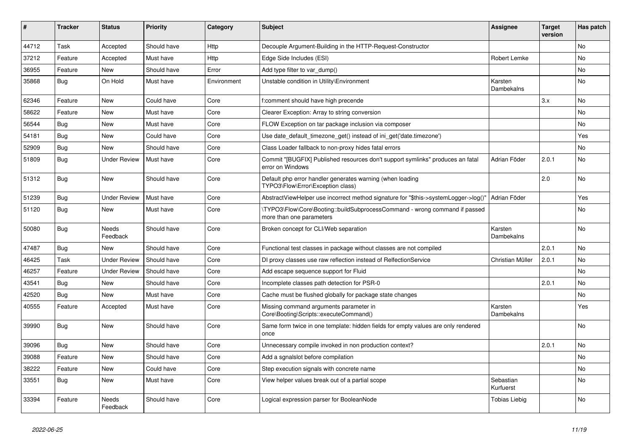| #     | <b>Tracker</b> | <b>Status</b>       | <b>Priority</b> | Category    | <b>Subject</b>                                                                                        | Assignee                     | <b>Target</b><br>version | Has patch      |
|-------|----------------|---------------------|-----------------|-------------|-------------------------------------------------------------------------------------------------------|------------------------------|--------------------------|----------------|
| 44712 | Task           | Accepted            | Should have     | Http        | Decouple Argument-Building in the HTTP-Request-Constructor                                            |                              |                          | <b>No</b>      |
| 37212 | Feature        | Accepted            | Must have       | Http        | Edge Side Includes (ESI)                                                                              | Robert Lemke                 |                          | N <sub>o</sub> |
| 36955 | Feature        | <b>New</b>          | Should have     | Error       | Add type filter to var dump()                                                                         |                              |                          | No             |
| 35868 | Bug            | On Hold             | Must have       | Environment | Unstable condition in Utility\Environment                                                             | Karsten<br>Dambekalns        |                          | N <sub>o</sub> |
| 62346 | Feature        | New                 | Could have      | Core        | f:comment should have high precende                                                                   |                              | 3.x                      | No.            |
| 58622 | Feature        | New                 | Must have       | Core        | Clearer Exception: Array to string conversion                                                         |                              |                          | No.            |
| 56544 | Bug            | New                 | Must have       | Core        | FLOW Exception on tar package inclusion via composer                                                  |                              |                          | No             |
| 54181 | Bug            | New                 | Could have      | Core        | Use date default timezone get() instead of ini get('date.timezone')                                   |                              |                          | Yes            |
| 52909 | Bug            | New                 | Should have     | Core        | Class Loader fallback to non-proxy hides fatal errors                                                 |                              |                          | No             |
| 51809 | Bug            | Under Review        | Must have       | Core        | Commit "[BUGFIX] Published resources don't support symlinks" produces an fatal<br>error on Windows    | Adrian Föder                 | 2.0.1                    | No             |
| 51312 | Bug            | New                 | Should have     | Core        | Default php error handler generates warning (when loading<br>TYPO3\Flow\Error\Exception class)        |                              | 2.0                      | N <sub>o</sub> |
| 51239 | Bug            | <b>Under Review</b> | Must have       | Core        | AbstractViewHelper use incorrect method signature for "\$this->systemLogger->log()"                   | Adrian Föder                 |                          | Yes            |
| 51120 | Bug            | <b>New</b>          | Must have       | Core        | TYPO3\Flow\Core\Booting::buildSubprocessCommand - wrong command if passed<br>more than one parameters |                              |                          | No             |
| 50080 | <b>Bug</b>     | Needs<br>Feedback   | Should have     | Core        | Broken concept for CLI/Web separation                                                                 | Karsten<br>Dambekalns        |                          | <b>No</b>      |
| 47487 | Bug            | <b>New</b>          | Should have     | Core        | Functional test classes in package without classes are not compiled                                   |                              | 2.0.1                    | No             |
| 46425 | Task           | <b>Under Review</b> | Should have     | Core        | DI proxy classes use raw reflection instead of RelfectionService                                      | Christian Müller             | 2.0.1                    | No             |
| 46257 | Feature        | <b>Under Review</b> | Should have     | Core        | Add escape sequence support for Fluid                                                                 |                              |                          | No.            |
| 43541 | <b>Bug</b>     | New                 | Should have     | Core        | Incomplete classes path detection for PSR-0                                                           |                              | 2.0.1                    | No             |
| 42520 | <b>Bug</b>     | <b>New</b>          | Must have       | Core        | Cache must be flushed globally for package state changes                                              |                              |                          | N <sub>o</sub> |
| 40555 | Feature        | Accepted            | Must have       | Core        | Missing command arguments parameter in<br>Core\Booting\Scripts::executeCommand()                      | Karsten<br><b>Dambekalns</b> |                          | Yes            |
| 39990 | <b>Bug</b>     | New                 | Should have     | Core        | Same form twice in one template: hidden fields for empty values are only rendered<br>once             |                              |                          | N <sub>o</sub> |
| 39096 | Bug            | New                 | Should have     | Core        | Unnecessary compile invoked in non production context?                                                |                              | 2.0.1                    | No             |
| 39088 | Feature        | New                 | Should have     | Core        | Add a sgnalslot before compilation                                                                    |                              |                          | No             |
| 38222 | Feature        | New                 | Could have      | Core        | Step execution signals with concrete name                                                             |                              |                          | No             |
| 33551 | Bug            | New                 | Must have       | Core        | View helper values break out of a partial scope                                                       | Sebastian<br>Kurfuerst       |                          | No             |
| 33394 | Feature        | Needs<br>Feedback   | Should have     | Core        | Logical expression parser for BooleanNode                                                             | Tobias Liebig                |                          | No             |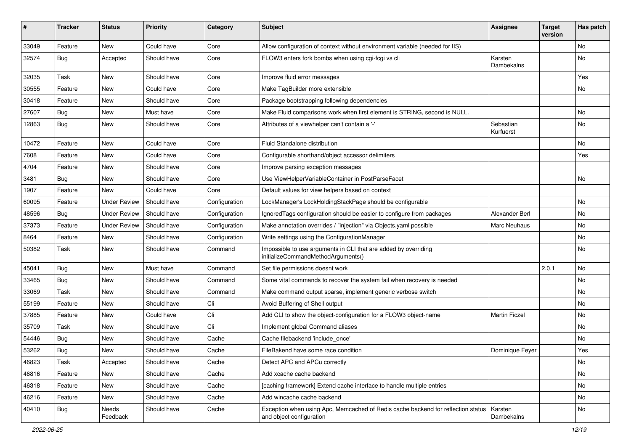| ∦     | <b>Tracker</b> | <b>Status</b>       | <b>Priority</b> | Category      | <b>Subject</b>                                                                                               | <b>Assignee</b>        | Target<br>version | Has patch |
|-------|----------------|---------------------|-----------------|---------------|--------------------------------------------------------------------------------------------------------------|------------------------|-------------------|-----------|
| 33049 | Feature        | New                 | Could have      | Core          | Allow configuration of context without environment variable (needed for IIS)                                 |                        |                   | <b>No</b> |
| 32574 | Bug            | Accepted            | Should have     | Core          | FLOW3 enters fork bombs when using cgi-fcgi vs cli                                                           | Karsten<br>Dambekalns  |                   | <b>No</b> |
| 32035 | <b>Task</b>    | New                 | Should have     | Core          | Improve fluid error messages                                                                                 |                        |                   | Yes       |
| 30555 | Feature        | New                 | Could have      | Core          | Make TagBuilder more extensible                                                                              |                        |                   | No        |
| 30418 | Feature        | New                 | Should have     | Core          | Package bootstrapping following dependencies                                                                 |                        |                   |           |
| 27607 | Bug            | New                 | Must have       | Core          | Make Fluid comparisons work when first element is STRING, second is NULL.                                    |                        |                   | No        |
| 12863 | Bug            | New                 | Should have     | Core          | Attributes of a viewhelper can't contain a '-'                                                               | Sebastian<br>Kurfuerst |                   | <b>No</b> |
| 10472 | Feature        | New                 | Could have      | Core          | Fluid Standalone distribution                                                                                |                        |                   | <b>No</b> |
| 7608  | Feature        | New                 | Could have      | Core          | Configurable shorthand/object accessor delimiters                                                            |                        |                   | Yes       |
| 4704  | Feature        | New                 | Should have     | Core          | Improve parsing exception messages                                                                           |                        |                   |           |
| 3481  | Bug            | New                 | Should have     | Core          | Use ViewHelperVariableContainer in PostParseFacet                                                            |                        |                   | <b>No</b> |
| 1907  | Feature        | New                 | Could have      | Core          | Default values for view helpers based on context                                                             |                        |                   |           |
| 60095 | Feature        | <b>Under Review</b> | Should have     | Configuration | LockManager's LockHoldingStackPage should be configurable                                                    |                        |                   | No        |
| 48596 | <b>Bug</b>     | <b>Under Review</b> | Should have     | Configuration | IgnoredTags configuration should be easier to configure from packages                                        | Alexander Berl         |                   | <b>No</b> |
| 37373 | Feature        | <b>Under Review</b> | Should have     | Configuration | Make annotation overrides / "injection" via Objects.yaml possible                                            | <b>Marc Neuhaus</b>    |                   | No        |
| 8464  | Feature        | New                 | Should have     | Configuration | Write settings using the ConfigurationManager                                                                |                        |                   | No        |
| 50382 | Task           | New                 | Should have     | Command       | Impossible to use arguments in CLI that are added by overriding<br>initializeCommandMethodArguments()        |                        |                   | <b>No</b> |
| 45041 | Bug            | New                 | Must have       | Command       | Set file permissions doesnt work                                                                             |                        | 2.0.1             | <b>No</b> |
| 33465 | Bug            | New                 | Should have     | Command       | Some vital commands to recover the system fail when recovery is needed                                       |                        |                   | <b>No</b> |
| 33069 | Task           | New                 | Should have     | Command       | Make command output sparse, implement generic verbose switch                                                 |                        |                   | No        |
| 55199 | Feature        | New                 | Should have     | Cli           | Avoid Buffering of Shell output                                                                              |                        |                   | <b>No</b> |
| 37885 | Feature        | New                 | Could have      | Cli           | Add CLI to show the object-configuration for a FLOW3 object-name                                             | <b>Martin Ficzel</b>   |                   | <b>No</b> |
| 35709 | Task           | New                 | Should have     | Cli           | Implement global Command aliases                                                                             |                        |                   | No        |
| 54446 | <b>Bug</b>     | New                 | Should have     | Cache         | Cache filebackend 'include once'                                                                             |                        |                   | <b>No</b> |
| 53262 | <b>Bug</b>     | New                 | Should have     | Cache         | FileBakend have some race condition                                                                          | Dominique Feyer        |                   | Yes       |
| 46823 | Task           | Accepted            | Should have     | Cache         | Detect APC and APCu correctly                                                                                |                        |                   | No        |
| 46816 | Feature        | New                 | Should have     | Cache         | Add xcache cache backend                                                                                     |                        |                   | No        |
| 46318 | Feature        | New                 | Should have     | Cache         | [caching framework] Extend cache interface to handle multiple entries                                        |                        |                   | No        |
| 46216 | Feature        | New                 | Should have     | Cache         | Add wincache cache backend                                                                                   |                        |                   | No        |
| 40410 | <b>Bug</b>     | Needs<br>Feedback   | Should have     | Cache         | Exception when using Apc, Memcached of Redis cache backend for reflection status<br>and object configuration | Karsten<br>Dambekalns  |                   | No        |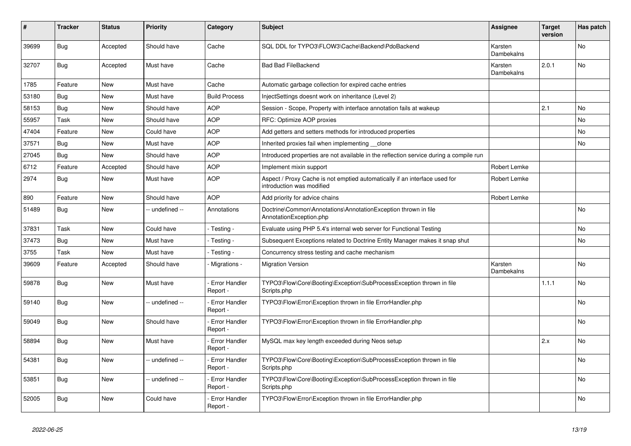| ∦     | <b>Tracker</b> | <b>Status</b> | <b>Priority</b> | Category                         | <b>Subject</b>                                                                                          | <b>Assignee</b>       | <b>Target</b><br>version | Has patch |
|-------|----------------|---------------|-----------------|----------------------------------|---------------------------------------------------------------------------------------------------------|-----------------------|--------------------------|-----------|
| 39699 | Bug            | Accepted      | Should have     | Cache                            | SQL DDL for TYPO3\FLOW3\Cache\Backend\PdoBackend                                                        | Karsten<br>Dambekalns |                          | No.       |
| 32707 | <b>Bug</b>     | Accepted      | Must have       | Cache                            | <b>Bad Bad FileBackend</b>                                                                              | Karsten<br>Dambekalns | 2.0.1                    | <b>No</b> |
| 1785  | Feature        | New           | Must have       | Cache                            | Automatic garbage collection for expired cache entries                                                  |                       |                          |           |
| 53180 | <b>Bug</b>     | New           | Must have       | <b>Build Process</b>             | InjectSettings doesnt work on inheritance (Level 2)                                                     |                       |                          |           |
| 58153 | <b>Bug</b>     | <b>New</b>    | Should have     | <b>AOP</b>                       | Session - Scope, Property with interface annotation fails at wakeup                                     |                       | 2.1                      | No        |
| 55957 | Task           | <b>New</b>    | Should have     | <b>AOP</b>                       | RFC: Optimize AOP proxies                                                                               |                       |                          | <b>No</b> |
| 47404 | Feature        | <b>New</b>    | Could have      | <b>AOP</b>                       | Add getters and setters methods for introduced properties                                               |                       |                          | No        |
| 37571 | Bug            | New           | Must have       | <b>AOP</b>                       | Inherited proxies fail when implementing __clone                                                        |                       |                          | <b>No</b> |
| 27045 | <b>Bug</b>     | New           | Should have     | <b>AOP</b>                       | Introduced properties are not available in the reflection service during a compile run                  |                       |                          |           |
| 6712  | Feature        | Accepted      | Should have     | <b>AOP</b>                       | Implement mixin support                                                                                 | Robert Lemke          |                          |           |
| 2974  | Bug            | <b>New</b>    | Must have       | <b>AOP</b>                       | Aspect / Proxy Cache is not emptied automatically if an interface used for<br>introduction was modified | Robert Lemke          |                          |           |
| 890   | Feature        | New           | Should have     | <b>AOP</b>                       | Add priority for advice chains                                                                          | Robert Lemke          |                          |           |
| 51489 | <b>Bug</b>     | New           | -- undefined -- | Annotations                      | Doctrine\Common\Annotations\AnnotationException thrown in file<br>AnnotationException.php               |                       |                          | No        |
| 37831 | Task           | <b>New</b>    | Could have      | - Testing                        | Evaluate using PHP 5.4's internal web server for Functional Testing                                     |                       |                          | No        |
| 37473 | Bug            | New           | Must have       | Testing -                        | Subsequent Exceptions related to Doctrine Entity Manager makes it snap shut                             |                       |                          | <b>No</b> |
| 3755  | Task           | New           | Must have       | Testing -                        | Concurrency stress testing and cache mechanism                                                          |                       |                          |           |
| 39609 | Feature        | Accepted      | Should have     | Migrations -                     | <b>Migration Version</b>                                                                                | Karsten<br>Dambekalns |                          | <b>No</b> |
| 59878 | <b>Bug</b>     | <b>New</b>    | Must have       | <b>Error Handler</b><br>Report - | TYPO3\Flow\Core\Booting\Exception\SubProcessException thrown in file<br>Scripts.php                     |                       | 1.1.1                    | No        |
| 59140 | <b>Bug</b>     | New           | - undefined --  | Error Handler<br>Report -        | TYPO3\Flow\Error\Exception thrown in file ErrorHandler.php                                              |                       |                          | <b>No</b> |
| 59049 | Bug            | New           | Should have     | Error Handler<br>Report -        | TYPO3\Flow\Error\Exception thrown in file ErrorHandler.php                                              |                       |                          | No        |
| 58894 | Bug            | New           | Must have       | <b>Error Handler</b><br>Report - | MySQL max key length exceeded during Neos setup                                                         |                       | 2.x                      | <b>No</b> |
| 54381 | <b>Bug</b>     | <b>New</b>    | -- undefined -- | <b>Error Handler</b><br>Report - | TYPO3\Flow\Core\Booting\Exception\SubProcessException thrown in file<br>Scripts.php                     |                       |                          | <b>No</b> |
| 53851 | Bug            | New           | -- undefined -- | Error Handler<br>Report -        | TYPO3\Flow\Core\Booting\Exception\SubProcessException thrown in file<br>Scripts.php                     |                       |                          | No        |
| 52005 | <b>Bug</b>     | <b>New</b>    | Could have      | Error Handler<br>Report -        | TYPO3\Flow\Error\Exception thrown in file ErrorHandler.php                                              |                       |                          | No        |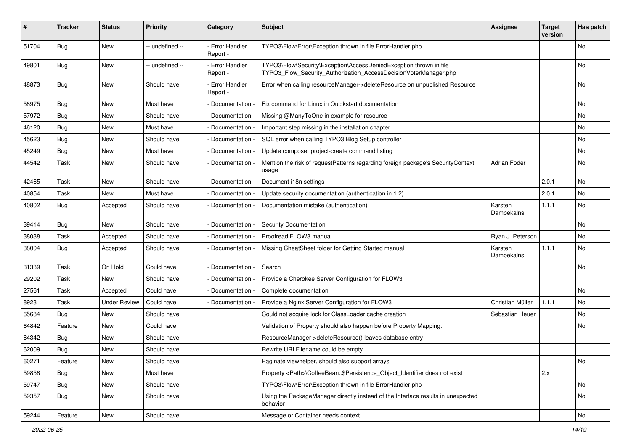| #     | <b>Tracker</b> | <b>Status</b>       | <b>Priority</b> | Category                         | Subject                                                                                                                                | <b>Assignee</b>       | <b>Target</b><br>version | Has patch |
|-------|----------------|---------------------|-----------------|----------------------------------|----------------------------------------------------------------------------------------------------------------------------------------|-----------------------|--------------------------|-----------|
| 51704 | Bug            | <b>New</b>          | -- undefined -- | <b>Error Handler</b><br>Report - | TYPO3\Flow\Error\Exception thrown in file ErrorHandler.php                                                                             |                       |                          | No        |
| 49801 | Bug            | New                 | -- undefined -- | - Error Handler<br>Report -      | TYPO3\Flow\Security\Exception\AccessDeniedException thrown in file<br>TYPO3_Flow_Security_Authorization_AccessDecisionVoterManager.php |                       |                          | No        |
| 48873 | <b>Bug</b>     | New                 | Should have     | <b>Error Handler</b><br>Report - | Error when calling resourceManager->deleteResource on unpublished Resource                                                             |                       |                          | No        |
| 58975 | Bug            | <b>New</b>          | Must have       | - Documentation -                | Fix command for Linux in Qucikstart documentation                                                                                      |                       |                          | No        |
| 57972 | <b>Bug</b>     | New                 | Should have     | Documentation -                  | Missing @ManyToOne in example for resource                                                                                             |                       |                          | No        |
| 46120 | Bug            | New                 | Must have       | Documentation -                  | Important step missing in the installation chapter                                                                                     |                       |                          | No        |
| 45623 | Bug            | <b>New</b>          | Should have     | Documentation -                  | SQL error when calling TYPO3.Blog Setup controller                                                                                     |                       |                          | No        |
| 45249 | Bug            | New                 | Must have       | Documentation -                  | Update composer project-create command listing                                                                                         |                       |                          | No.       |
| 44542 | Task           | New                 | Should have     | Documentation -                  | Mention the risk of requestPatterns regarding foreign package's SecurityContext<br>usage                                               | Adrian Föder          |                          | No        |
| 42465 | Task           | <b>New</b>          | Should have     | Documentation -                  | Document i18n settings                                                                                                                 |                       | 2.0.1                    | No        |
| 40854 | Task           | <b>New</b>          | Must have       | Documentation                    | Update security documentation (authentication in 1.2)                                                                                  |                       | 2.0.1                    | No        |
| 40802 | <b>Bug</b>     | Accepted            | Should have     | Documentation                    | Documentation mistake (authentication)                                                                                                 | Karsten<br>Dambekalns | 1.1.1                    | No        |
| 39414 | Bug            | New                 | Should have     | Documentation -                  | <b>Security Documentation</b>                                                                                                          |                       |                          | No        |
| 38038 | Task           | Accepted            | Should have     | Documentation -                  | Proofread FLOW3 manual                                                                                                                 | Ryan J. Peterson      |                          | No.       |
| 38004 | Bug            | Accepted            | Should have     | Documentation -                  | Missing CheatSheet folder for Getting Started manual                                                                                   | Karsten<br>Dambekalns | 1.1.1                    | No        |
| 31339 | Task           | On Hold             | Could have      | - Documentation -                | Search                                                                                                                                 |                       |                          | No        |
| 29202 | Task           | New                 | Should have     | Documentation                    | Provide a Cherokee Server Configuration for FLOW3                                                                                      |                       |                          |           |
| 27561 | Task           | Accepted            | Could have      | Documentation                    | Complete documentation                                                                                                                 |                       |                          | No        |
| 8923  | Task           | <b>Under Review</b> | Could have      | Documentation                    | Provide a Nginx Server Configuration for FLOW3                                                                                         | Christian Müller      | 1.1.1                    | No.       |
| 65684 | Bug            | New                 | Should have     |                                  | Could not acquire lock for ClassLoader cache creation                                                                                  | Sebastian Heuer       |                          | No        |
| 64842 | Feature        | <b>New</b>          | Could have      |                                  | Validation of Property should also happen before Property Mapping.                                                                     |                       |                          | No.       |
| 64342 | Bug            | New                 | Should have     |                                  | ResourceManager->deleteResource() leaves database entry                                                                                |                       |                          |           |
| 62009 | <b>Bug</b>     | New                 | Should have     |                                  | Rewrite URI Filename could be empty                                                                                                    |                       |                          |           |
| 60271 | Feature        | New                 | Should have     |                                  | Paginate viewhelper, should also support arrays                                                                                        |                       |                          | No        |
| 59858 | <b>Bug</b>     | New                 | Must have       |                                  | Property <path>\CoffeeBean::\$Persistence_Object_Identifier does not exist</path>                                                      |                       | 2.x                      |           |
| 59747 | Bug            | New                 | Should have     |                                  | TYPO3\Flow\Error\Exception thrown in file ErrorHandler.php                                                                             |                       |                          | No        |
| 59357 | Bug            | New                 | Should have     |                                  | Using the PackageManager directly instead of the Interface results in unexpected<br>behavior                                           |                       |                          | No        |
| 59244 | Feature        | New                 | Should have     |                                  | Message or Container needs context                                                                                                     |                       |                          | No        |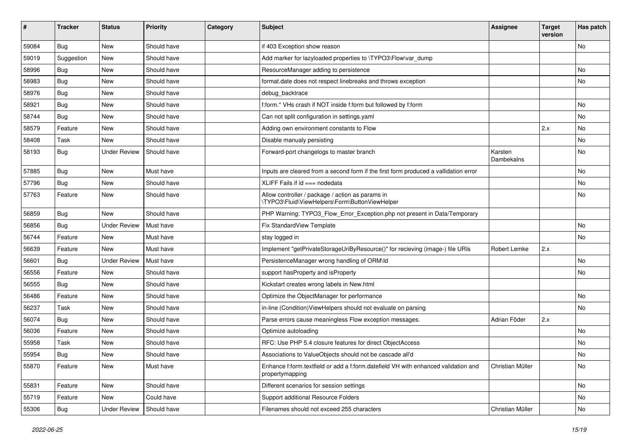| #     | <b>Tracker</b> | <b>Status</b>       | <b>Priority</b> | Category | Subject                                                                                               | <b>Assignee</b>       | <b>Target</b><br>version | Has patch |
|-------|----------------|---------------------|-----------------|----------|-------------------------------------------------------------------------------------------------------|-----------------------|--------------------------|-----------|
| 59084 | Bug            | New                 | Should have     |          | if 403 Exception show reason                                                                          |                       |                          | No        |
| 59019 | Suggestion     | New                 | Should have     |          | Add marker for lazyloaded properties to \TYPO3\Flow\var_dump                                          |                       |                          |           |
| 58996 | Bug            | New                 | Should have     |          | ResourceManager adding to persistence                                                                 |                       |                          | No        |
| 58983 | Bug            | New                 | Should have     |          | format.date does not respect linebreaks and throws exception                                          |                       |                          | No        |
| 58976 | <b>Bug</b>     | New                 | Should have     |          | debug_backtrace                                                                                       |                       |                          |           |
| 58921 | <b>Bug</b>     | New                 | Should have     |          | f:form.* VHs crash if NOT inside f:form but followed by f:form                                        |                       |                          | No        |
| 58744 | Bug            | New                 | Should have     |          | Can not split configuration in settings.yaml                                                          |                       |                          | No        |
| 58579 | Feature        | New                 | Should have     |          | Adding own environment constants to Flow                                                              |                       | 2.x                      | No        |
| 58408 | <b>Task</b>    | New                 | Should have     |          | Disable manualy persisting                                                                            |                       |                          | No        |
| 58193 | Bug            | <b>Under Review</b> | Should have     |          | Forward-port changelogs to master branch                                                              | Karsten<br>Dambekalns |                          | No        |
| 57885 | Bug            | New                 | Must have       |          | Inputs are cleared from a second form if the first form produced a vallidation error                  |                       |                          | No        |
| 57796 | <b>Bug</b>     | New                 | Should have     |          | XLIFF Fails if id === nodedata                                                                        |                       |                          | No        |
| 57763 | Feature        | New                 | Should have     |          | Allow controller / package / action as params in<br>\TYPO3\Fluid\ViewHelpers\Form\ButtonViewHelper    |                       |                          | No        |
| 56859 | <b>Bug</b>     | New                 | Should have     |          | PHP Warning: TYPO3_Flow_Error_Exception.php not present in Data/Temporary                             |                       |                          |           |
| 56856 | Bug            | <b>Under Review</b> | Must have       |          | Fix StandardView Template                                                                             |                       |                          | No        |
| 56744 | Feature        | New                 | Must have       |          | stay logged in                                                                                        |                       |                          | No        |
| 56639 | Feature        | New                 | Must have       |          | Implement "getPrivateStorageUriByResource()" for recieving (image-) file URIs                         | Robert Lemke          | 2.x                      |           |
| 56601 | Bug            | <b>Under Review</b> | Must have       |          | PersistenceManager wrong handling of ORM\ld                                                           |                       |                          | No        |
| 56556 | Feature        | New                 | Should have     |          | support hasProperty and isProperty                                                                    |                       |                          | No        |
| 56555 | Bug            | New                 | Should have     |          | Kickstart creates wrong labels in New.html                                                            |                       |                          |           |
| 56486 | Feature        | New                 | Should have     |          | Optimize the ObjectManager for performance                                                            |                       |                          | <b>No</b> |
| 56237 | <b>Task</b>    | New                 | Should have     |          | in-line (Condition) View Helpers should not evaluate on parsing                                       |                       |                          | No        |
| 56074 | <b>Bug</b>     | New                 | Should have     |          | Parse errors cause meaningless Flow exception messages.                                               | Adrian Föder          | 2.x                      |           |
| 56036 | Feature        | New                 | Should have     |          | Optimize autoloading                                                                                  |                       |                          | No        |
| 55958 | <b>Task</b>    | New                 | Should have     |          | RFC: Use PHP 5.4 closure features for direct ObjectAccess                                             |                       |                          | No        |
| 55954 | Bug            | New                 | Should have     |          | Associations to ValueObjects should not be cascade all'd                                              |                       |                          | No        |
| 55870 | Feature        | New                 | Must have       |          | Enhance f:form.textfield or add a f:form.datefield VH with enhanced validation and<br>propertymapping | Christian Müller      |                          | No        |
| 55831 | Feature        | New                 | Should have     |          | Different scenarios for session settings                                                              |                       |                          | No        |
| 55719 | Feature        | New                 | Could have      |          | Support additional Resource Folders                                                                   |                       |                          | No        |
| 55306 | <b>Bug</b>     | <b>Under Review</b> | Should have     |          | Filenames should not exceed 255 characters                                                            | Christian Müller      |                          | No        |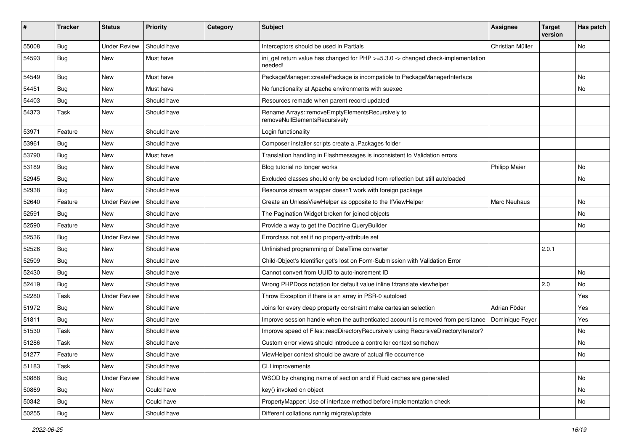| ∦     | <b>Tracker</b> | <b>Status</b>       | <b>Priority</b> | Category | <b>Subject</b>                                                                              | <b>Assignee</b>      | <b>Target</b><br>version | Has patch |
|-------|----------------|---------------------|-----------------|----------|---------------------------------------------------------------------------------------------|----------------------|--------------------------|-----------|
| 55008 | Bug            | <b>Under Review</b> | Should have     |          | Interceptors should be used in Partials                                                     | Christian Müller     |                          | No        |
| 54593 | Bug            | New                 | Must have       |          | ini_get return value has changed for PHP >=5.3.0 -> changed check-implementation<br>needed! |                      |                          |           |
| 54549 | Bug            | New                 | Must have       |          | PackageManager::createPackage is incompatible to PackageManagerInterface                    |                      |                          | No        |
| 54451 | Bug            | New                 | Must have       |          | No functionality at Apache environments with suexec                                         |                      |                          | No        |
| 54403 | Bug            | New                 | Should have     |          | Resources remade when parent record updated                                                 |                      |                          |           |
| 54373 | Task           | New                 | Should have     |          | Rename Arrays::removeEmptyElementsRecursively to<br>removeNullElementsRecursively           |                      |                          |           |
| 53971 | Feature        | New                 | Should have     |          | Login functionality                                                                         |                      |                          |           |
| 53961 | Bug            | New                 | Should have     |          | Composer installer scripts create a .Packages folder                                        |                      |                          |           |
| 53790 | <b>Bug</b>     | New                 | Must have       |          | Translation handling in Flashmessages is inconsistent to Validation errors                  |                      |                          |           |
| 53189 | Bug            | New                 | Should have     |          | Blog tutorial no longer works                                                               | <b>Philipp Maier</b> |                          | No        |
| 52945 | <b>Bug</b>     | New                 | Should have     |          | Excluded classes should only be excluded from reflection but still autoloaded               |                      |                          | No        |
| 52938 | <b>Bug</b>     | New                 | Should have     |          | Resource stream wrapper doesn't work with foreign package                                   |                      |                          |           |
| 52640 | Feature        | <b>Under Review</b> | Should have     |          | Create an UnlessViewHelper as opposite to the IfViewHelper                                  | <b>Marc Neuhaus</b>  |                          | No        |
| 52591 | Bug            | New                 | Should have     |          | The Pagination Widget broken for joined objects                                             |                      |                          | No.       |
| 52590 | Feature        | New                 | Should have     |          | Provide a way to get the Doctrine QueryBuilder                                              |                      |                          | No        |
| 52536 | Bug            | Under Review        | Should have     |          | Errorclass not set if no property-attribute set                                             |                      |                          |           |
| 52526 | <b>Bug</b>     | New                 | Should have     |          | Unfinished programming of DateTime converter                                                |                      | 2.0.1                    |           |
| 52509 | Bug            | <b>New</b>          | Should have     |          | Child-Object's Identifier get's lost on Form-Submission with Validation Error               |                      |                          |           |
| 52430 | <b>Bug</b>     | New                 | Should have     |          | Cannot convert from UUID to auto-increment ID                                               |                      |                          | No        |
| 52419 | Bug            | New                 | Should have     |          | Wrong PHPDocs notation for default value inline f:translate viewhelper                      |                      | 2.0                      | No        |
| 52280 | Task           | <b>Under Review</b> | Should have     |          | Throw Exception if there is an array in PSR-0 autoload                                      |                      |                          | Yes       |
| 51972 | <b>Bug</b>     | New                 | Should have     |          | Joins for every deep property constraint make cartesian selection                           | Adrian Föder         |                          | Yes       |
| 51811 | Bug            | <b>New</b>          | Should have     |          | Improve session handle when the authenticated account is removed from persitance            | Dominique Feyer      |                          | Yes       |
| 51530 | Task           | New                 | Should have     |          | Improve speed of Files::readDirectoryRecursively using RecursiveDirectoryIterator?          |                      |                          | No        |
| 51286 | Task           | New                 | Should have     |          | Custom error views should introduce a controller context somehow                            |                      |                          | No.       |
| 51277 | Feature        | New                 | Should have     |          | ViewHelper context should be aware of actual file occurrence                                |                      |                          | No        |
| 51183 | Task           | New                 | Should have     |          | CLI improvements                                                                            |                      |                          |           |
| 50888 | <b>Bug</b>     | <b>Under Review</b> | Should have     |          | WSOD by changing name of section and if Fluid caches are generated                          |                      |                          | No        |
| 50869 | <b>Bug</b>     | New                 | Could have      |          | key() invoked on object                                                                     |                      |                          | No        |
| 50342 | Bug            | New                 | Could have      |          | PropertyMapper: Use of interface method before implementation check                         |                      |                          | No        |
| 50255 | <b>Bug</b>     | New                 | Should have     |          | Different collations runnig migrate/update                                                  |                      |                          |           |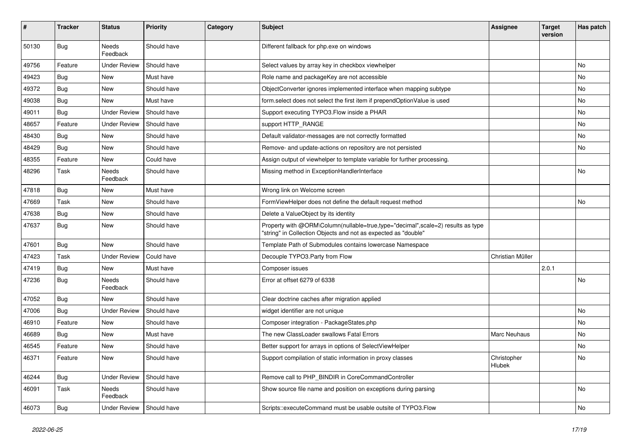| #     | <b>Tracker</b> | <b>Status</b>       | <b>Priority</b> | Category | <b>Subject</b>                                                                                                                                    | <b>Assignee</b>       | <b>Target</b><br>version | Has patch |
|-------|----------------|---------------------|-----------------|----------|---------------------------------------------------------------------------------------------------------------------------------------------------|-----------------------|--------------------------|-----------|
| 50130 | Bug            | Needs<br>Feedback   | Should have     |          | Different fallback for php.exe on windows                                                                                                         |                       |                          |           |
| 49756 | Feature        | <b>Under Review</b> | Should have     |          | Select values by array key in checkbox viewhelper                                                                                                 |                       |                          | No        |
| 49423 | Bug            | <b>New</b>          | Must have       |          | Role name and packageKey are not accessible                                                                                                       |                       |                          | No        |
| 49372 | <b>Bug</b>     | New                 | Should have     |          | ObjectConverter ignores implemented interface when mapping subtype                                                                                |                       |                          | No        |
| 49038 | <b>Bug</b>     | New                 | Must have       |          | form.select does not select the first item if prependOptionValue is used                                                                          |                       |                          | No.       |
| 49011 | <b>Bug</b>     | <b>Under Review</b> | Should have     |          | Support executing TYPO3. Flow inside a PHAR                                                                                                       |                       |                          | No        |
| 48657 | Feature        | <b>Under Review</b> | Should have     |          | support HTTP_RANGE                                                                                                                                |                       |                          | No        |
| 48430 | Bug            | <b>New</b>          | Should have     |          | Default validator-messages are not correctly formatted                                                                                            |                       |                          | No        |
| 48429 | <b>Bug</b>     | New                 | Should have     |          | Remove- and update-actions on repository are not persisted                                                                                        |                       |                          | No        |
| 48355 | Feature        | <b>New</b>          | Could have      |          | Assign output of viewhelper to template variable for further processing.                                                                          |                       |                          |           |
| 48296 | Task           | Needs<br>Feedback   | Should have     |          | Missing method in ExceptionHandlerInterface                                                                                                       |                       |                          | No        |
| 47818 | <b>Bug</b>     | New                 | Must have       |          | Wrong link on Welcome screen                                                                                                                      |                       |                          |           |
| 47669 | Task           | New                 | Should have     |          | FormViewHelper does not define the default request method                                                                                         |                       |                          | No        |
| 47638 | <b>Bug</b>     | New                 | Should have     |          | Delete a ValueObject by its identity                                                                                                              |                       |                          |           |
| 47637 | Bug            | New                 | Should have     |          | Property with @ORM\Column(nullable=true,type="decimal",scale=2) results as type<br>"string" in Collection Objects and not as expected as "double" |                       |                          |           |
| 47601 | Bug            | New                 | Should have     |          | Template Path of Submodules contains lowercase Namespace                                                                                          |                       |                          |           |
| 47423 | Task           | <b>Under Review</b> | Could have      |          | Decouple TYPO3.Party from Flow                                                                                                                    | Christian Müller      |                          |           |
| 47419 | Bug            | <b>New</b>          | Must have       |          | Composer issues                                                                                                                                   |                       | 2.0.1                    |           |
| 47236 | <b>Bug</b>     | Needs<br>Feedback   | Should have     |          | Error at offset 6279 of 6338                                                                                                                      |                       |                          | No        |
| 47052 | <b>Bug</b>     | New                 | Should have     |          | Clear doctrine caches after migration applied                                                                                                     |                       |                          |           |
| 47006 | Bug            | <b>Under Review</b> | Should have     |          | widget identifier are not unique                                                                                                                  |                       |                          | No        |
| 46910 | Feature        | New                 | Should have     |          | Composer integration - PackageStates.php                                                                                                          |                       |                          | No        |
| 46689 | <b>Bug</b>     | New                 | Must have       |          | The new ClassLoader swallows Fatal Errors                                                                                                         | Marc Neuhaus          |                          | No        |
| 46545 | Feature        | <b>New</b>          | Should have     |          | Better support for arrays in options of SelectViewHelper                                                                                          |                       |                          | No        |
| 46371 | Feature        | <b>New</b>          | Should have     |          | Support compilation of static information in proxy classes                                                                                        | Christopher<br>Hlubek |                          | NO.       |
| 46244 | <b>Bug</b>     | <b>Under Review</b> | Should have     |          | Remove call to PHP_BINDIR in CoreCommandController                                                                                                |                       |                          |           |
| 46091 | Task           | Needs<br>Feedback   | Should have     |          | Show source file name and position on exceptions during parsing                                                                                   |                       |                          | No        |
| 46073 | <b>Bug</b>     | <b>Under Review</b> | Should have     |          | Scripts::executeCommand must be usable outsite of TYPO3.Flow                                                                                      |                       |                          | No        |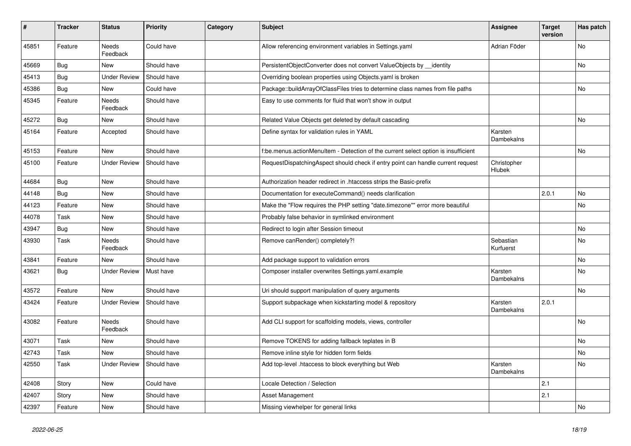| ∦     | <b>Tracker</b> | <b>Status</b>            | <b>Priority</b> | Category | <b>Subject</b>                                                                     | <b>Assignee</b>              | <b>Target</b><br>version | Has patch |
|-------|----------------|--------------------------|-----------------|----------|------------------------------------------------------------------------------------|------------------------------|--------------------------|-----------|
| 45851 | Feature        | <b>Needs</b><br>Feedback | Could have      |          | Allow referencing environment variables in Settings.yaml                           | Adrian Föder                 |                          | <b>No</b> |
| 45669 | <b>Bug</b>     | New                      | Should have     |          | PersistentObjectConverter does not convert ValueObjects by identity                |                              |                          | No        |
| 45413 | <b>Bug</b>     | <b>Under Review</b>      | Should have     |          | Overriding boolean properties using Objects yaml is broken                         |                              |                          |           |
| 45386 | <b>Bug</b>     | New                      | Could have      |          | Package::buildArrayOfClassFiles tries to determine class names from file paths     |                              |                          | No        |
| 45345 | Feature        | Needs<br>Feedback        | Should have     |          | Easy to use comments for fluid that won't show in output                           |                              |                          |           |
| 45272 | Bug            | New                      | Should have     |          | Related Value Objects get deleted by default cascading                             |                              |                          | <b>No</b> |
| 45164 | Feature        | Accepted                 | Should have     |          | Define syntax for validation rules in YAML                                         | Karsten<br><b>Dambekalns</b> |                          |           |
| 45153 | Feature        | <b>New</b>               | Should have     |          | f:be.menus.actionMenuItem - Detection of the current select option is insufficient |                              |                          | No        |
| 45100 | Feature        | <b>Under Review</b>      | Should have     |          | RequestDispatchingAspect should check if entry point can handle current request    | Christopher<br>Hlubek        |                          |           |
| 44684 | Bug            | New                      | Should have     |          | Authorization header redirect in .htaccess strips the Basic-prefix                 |                              |                          |           |
| 44148 | Bug            | New                      | Should have     |          | Documentation for executeCommand() needs clarification                             |                              | 2.0.1                    | No        |
| 44123 | Feature        | New                      | Should have     |          | Make the "Flow requires the PHP setting "date.timezone"" error more beautiful      |                              |                          | <b>No</b> |
| 44078 | Task           | New                      | Should have     |          | Probably false behavior in symlinked environment                                   |                              |                          |           |
| 43947 | <b>Bug</b>     | New                      | Should have     |          | Redirect to login after Session timeout                                            |                              |                          | No        |
| 43930 | Task           | Needs<br>Feedback        | Should have     |          | Remove canRender() completely?!                                                    | Sebastian<br>Kurfuerst       |                          | <b>No</b> |
| 43841 | Feature        | New                      | Should have     |          | Add package support to validation errors                                           |                              |                          | No        |
| 43621 | Bug            | <b>Under Review</b>      | Must have       |          | Composer installer overwrites Settings.yaml.example                                | Karsten<br>Dambekalns        |                          | <b>No</b> |
| 43572 | Feature        | <b>New</b>               | Should have     |          | Uri should support manipulation of query arguments                                 |                              |                          | <b>No</b> |
| 43424 | Feature        | <b>Under Review</b>      | Should have     |          | Support subpackage when kickstarting model & repository                            | Karsten<br>Dambekalns        | 2.0.1                    |           |
| 43082 | Feature        | Needs<br>Feedback        | Should have     |          | Add CLI support for scaffolding models, views, controller                          |                              |                          | <b>No</b> |
| 43071 | Task           | New                      | Should have     |          | Remove TOKENS for adding fallback teplates in B                                    |                              |                          | <b>No</b> |
| 42743 | Task           | New                      | Should have     |          | Remove inline style for hidden form fields                                         |                              |                          | <b>No</b> |
| 42550 | Task           | <b>Under Review</b>      | Should have     |          | Add top-level .htaccess to block everything but Web                                | Karsten<br>Dambekalns        |                          | <b>No</b> |
| 42408 | Story          | New                      | Could have      |          | Locale Detection / Selection                                                       |                              | 2.1                      |           |
| 42407 | Story          | New                      | Should have     |          | Asset Management                                                                   |                              | 2.1                      |           |
| 42397 | Feature        | New                      | Should have     |          | Missing viewhelper for general links                                               |                              |                          | No        |